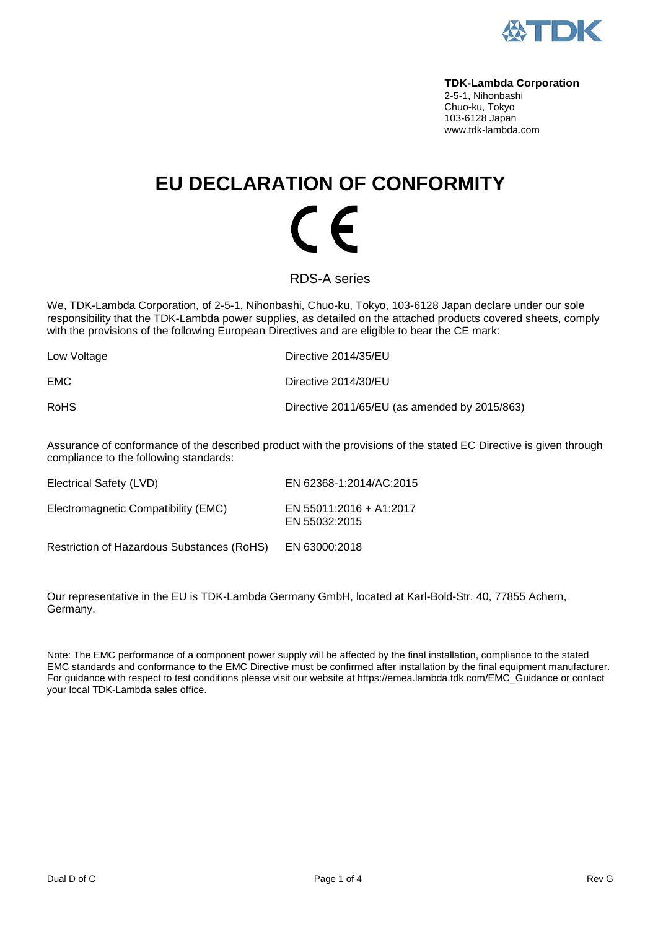

### **TDK-Lambda Corporation**

2-5-1, Nihonbashi Chuo-ku, Tokyo 103-6128 Japan www.tdk-lambda.com

# **EU DECLARATION OF CONFORMITY**  $\mathcal{C}\in$

RDS-A series

We, TDK-Lambda Corporation, of 2-5-1, Nihonbashi, Chuo-ku, Tokyo, 103-6128 Japan declare under our sole responsibility that the TDK-Lambda power supplies, as detailed on the attached products covered sheets, comply with the provisions of the following European Directives and are eligible to bear the CE mark:

| Low Voltage | Directive 2014/35/EU                          |
|-------------|-----------------------------------------------|
| EMC.        | Directive 2014/30/EU                          |
| <b>RoHS</b> | Directive 2011/65/EU (as amended by 2015/863) |

Assurance of conformance of the described product with the provisions of the stated EC Directive is given through compliance to the following standards:

| Electrical Safety (LVD)                    | EN 62368-1:2014/AC:2015                  |
|--------------------------------------------|------------------------------------------|
| Electromagnetic Compatibility (EMC)        | EN 55011:2016 + A1:2017<br>EN 55032:2015 |
| Restriction of Hazardous Substances (RoHS) | EN 63000:2018                            |

Our representative in the EU is TDK-Lambda Germany GmbH, located at Karl-Bold-Str. 40, 77855 Achern, Germany.

Note: The EMC performance of a component power supply will be affected by the final installation, compliance to the stated EMC standards and conformance to the EMC Directive must be confirmed after installation by the final equipment manufacturer. For guidance with respect to test conditions please visit our website at https://emea.lambda.tdk.com/EMC\_Guidance or contact your local TDK-Lambda sales office.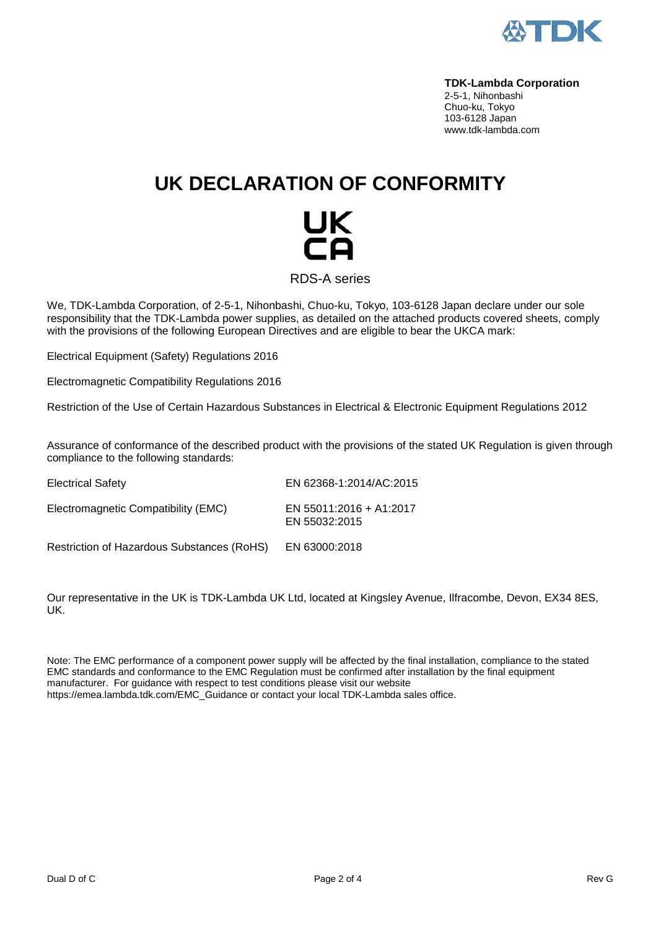

### **TDK-Lambda Corporation**

2-5-1, Nihonbashi Chuo-ku, Tokyo 103-6128 Japan www.tdk-lambda.com

## **UK DECLARATION OF CONFORMITY**

# UK

RDS-A series

We, TDK-Lambda Corporation, of 2-5-1, Nihonbashi, Chuo-ku, Tokyo, 103-6128 Japan declare under our sole responsibility that the TDK-Lambda power supplies, as detailed on the attached products covered sheets, comply with the provisions of the following European Directives and are eligible to bear the UKCA mark:

Electrical Equipment (Safety) Regulations 2016

Electromagnetic Compatibility Regulations 2016

Restriction of the Use of Certain Hazardous Substances in Electrical & Electronic Equipment Regulations 2012

Assurance of conformance of the described product with the provisions of the stated UK Regulation is given through compliance to the following standards:

| <b>Electrical Safety</b>                   | EN 62368-1:2014/AC:2015                  |
|--------------------------------------------|------------------------------------------|
| Electromagnetic Compatibility (EMC)        | EN 55011:2016 + A1:2017<br>EN 55032:2015 |
| Restriction of Hazardous Substances (RoHS) | EN 63000:2018                            |

Our representative in the UK is TDK-Lambda UK Ltd, located at Kingsley Avenue, Ilfracombe, Devon, EX34 8ES, UK.

Note: The EMC performance of a component power supply will be affected by the final installation, compliance to the stated EMC standards and conformance to the EMC Regulation must be confirmed after installation by the final equipment manufacturer. For guidance with respect to test conditions please visit our website [https://emea.lambda.tdk.com/EMC\\_Guidance](https://emea.lambda.tdk.com/EMC_Guidance) or contact your local TDK-Lambda sales office.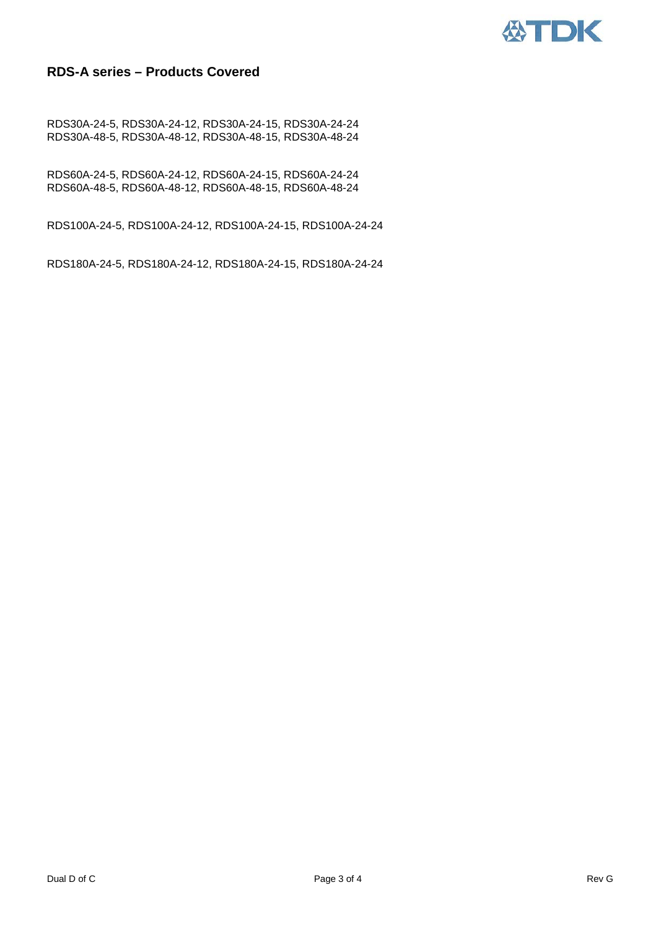# **ATDK**

### **RDS-A series – Products Covered**

RDS30A-24-5, RDS30A-24-12, RDS30A-24-15, RDS30A-24-24 RDS30A-48-5, RDS30A-48-12, RDS30A-48-15, RDS30A-48-24

RDS60A-24-5, RDS60A-24-12, RDS60A-24-15, RDS60A-24-24 RDS60A-48-5, RDS60A-48-12, RDS60A-48-15, RDS60A-48-24

RDS100A-24-5, RDS100A-24-12, RDS100A-24-15, RDS100A-24-24

RDS180A-24-5, RDS180A-24-12, RDS180A-24-15, RDS180A-24-24